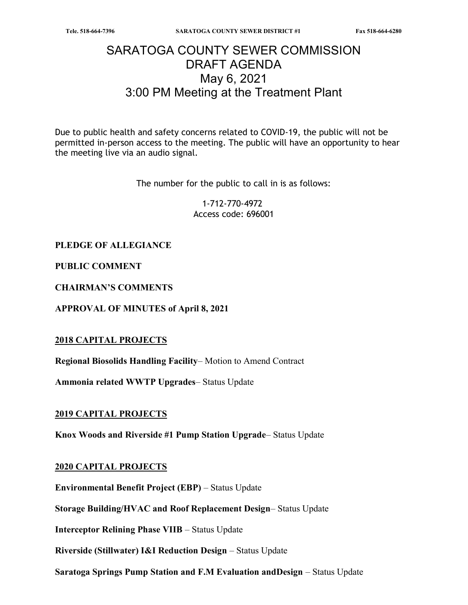# SARATOGA COUNTY SEWER COMMISSION DRAFT AGENDA May 6, 2021 3:00 PM Meeting at the Treatment Plant

Due to public health and safety concerns related to COVID-19, the public will not be permitted in-person access to the meeting. The public will have an opportunity to hear the meeting live via an audio signal.

The number for the public to call in is as follows:

1-712-770-4972 Access code: 696001

## PLEDGE OF ALLEGIANCE

PUBLIC COMMENT

CHAIRMAN'S COMMENTS

APPROVAL OF MINUTES of April 8, 2021

#### 2018 CAPITAL PROJECTS

Regional Biosolids Handling Facility– Motion to Amend Contract

Ammonia related WWTP Upgrades– Status Update

#### 2019 CAPITAL PROJECTS

Knox Woods and Riverside #1 Pump Station Upgrade– Status Update

#### 2020 CAPITAL PROJECTS

Environmental Benefit Project (EBP) – Status Update

Storage Building/HVAC and Roof Replacement Design– Status Update

Interceptor Relining Phase VIIB – Status Update

Riverside (Stillwater) I&I Reduction Design – Status Update

Saratoga Springs Pump Station and F.M Evaluation andDesign – Status Update